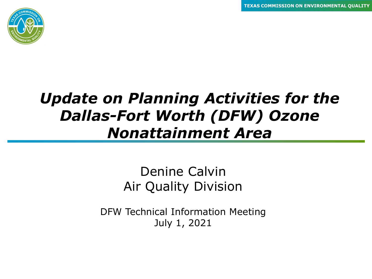

### *Update on Planning Activities for the Dallas-Fort Worth (DFW) Ozone Nonattainment Area*

#### Denine Calvin Air Quality Division

DFW Technical Information Meeting July 1, 2021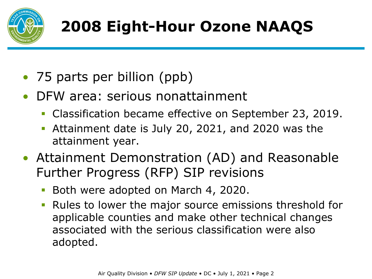

# **2008 Eight-Hour Ozone NAAQS**

- 75 parts per billion (ppb)
- DFW area: serious nonattainment
	- Classification became effective on September 23, 2019.
	- Attainment date is July 20, 2021, and 2020 was the attainment year.
- Attainment Demonstration (AD) and Reasonable Further Progress (RFP) SIP revisions
	- Both were adopted on March 4, 2020.
	- Rules to lower the major source emissions threshold for applicable counties and make other technical changes associated with the serious classification were also adopted.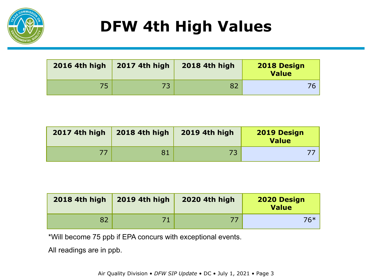

# **DFW 4th High Values**

| 2016 4th high | <b>2017 4th high</b> | <b>2018 4th high</b> | <b>2018 Design</b><br><b>Value</b> |
|---------------|----------------------|----------------------|------------------------------------|
| 75            |                      |                      |                                    |

| <b>2017 4th high</b> | <b>2018 4th high</b> | <b>2019 4th high</b> | <b>2019 Design</b><br>Value |
|----------------------|----------------------|----------------------|-----------------------------|
|                      | 81                   |                      |                             |

| <b>2018 4th high</b> | <b>2019 4th high</b> | <b>2020 4th high</b> | 2020 Design<br><b>Value</b> |
|----------------------|----------------------|----------------------|-----------------------------|
|                      |                      |                      | 76*                         |

\*Will become 75 ppb if EPA concurs with exceptional events.

All readings are in ppb.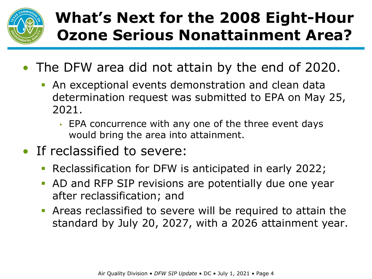

## **What's Next for the 2008 Eight-Hour Ozone Serious Nonattainment Area?**

- The DFW area did not attain by the end of 2020.
	- An exceptional events demonstration and clean data determination request was submitted to EPA on May 25, 2021.
		- EPA concurrence with any one of the three event days would bring the area into attainment.
- If reclassified to severe:
	- Reclassification for DFW is anticipated in early 2022;
	- AD and RFP SIP revisions are potentially due one year after reclassification; and
	- Areas reclassified to severe will be required to attain the standard by July 20, 2027, with a 2026 attainment year.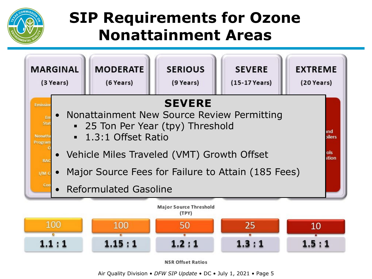

### **SIP Requirements for Ozone Nonattainment Areas**



**NSR Offset Ratios** 

Air Quality Division • *DFW SIP Update* • DC • July 1, 2021 • Page 5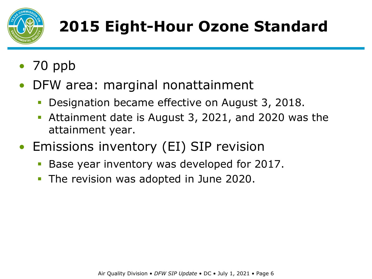

# **2015 Eight-Hour Ozone Standard**

- 70 ppb
- DFW area: marginal nonattainment
	- Designation became effective on August 3, 2018.
	- Attainment date is August 3, 2021, and 2020 was the attainment year.
- Emissions inventory (EI) SIP revision
	- Base year inventory was developed for 2017.
	- The revision was adopted in June 2020.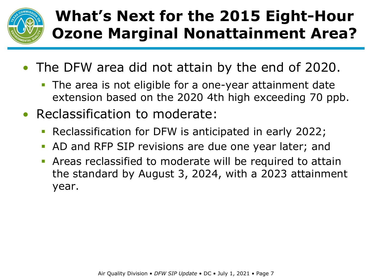

## **What's Next for the 2015 Eight-Hour Ozone Marginal Nonattainment Area?**

- The DFW area did not attain by the end of 2020.
	- **The area is not eligible for a one-year attainment date** extension based on the 2020 4th high exceeding 70 ppb.
- Reclassification to moderate:
	- Reclassification for DFW is anticipated in early 2022;
	- AD and RFP SIP revisions are due one year later; and
	- Areas reclassified to moderate will be required to attain the standard by August 3, 2024, with a 2023 attainment year.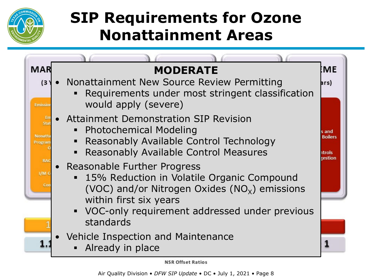

### **SIP Requirements for Ozone Nonattainment Areas**



Air Quality Division • *DFW SIP Update* • DC • July 1, 2021 • Page 8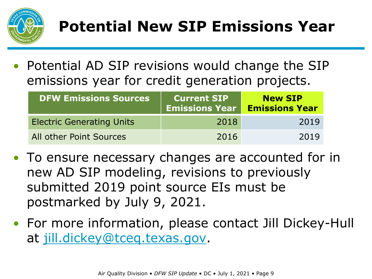

# **Potential New SIP Emissions Year**

• Potential AD SIP revisions would change the SIP emissions year for credit generation projects.

| <b>DFW Emissions Sources</b>     | <b>Current SIP</b><br><b>Emissions Year</b> | <b>New SIP</b><br><b>Emissions Year</b> |
|----------------------------------|---------------------------------------------|-----------------------------------------|
| <b>Electric Generating Units</b> | 2018                                        | 2019                                    |
| All other Point Sources          | 2016                                        | 2019                                    |

- To ensure necessary changes are accounted for in new AD SIP modeling, revisions to previously submitted 2019 point source EIs must be postmarked by July 9, 2021.
- For more information, please contact Jill Dickey-Hull at [jill.dickey@tceq.texas.gov.](mailto:jill.dickey@tceq.texas.gov)